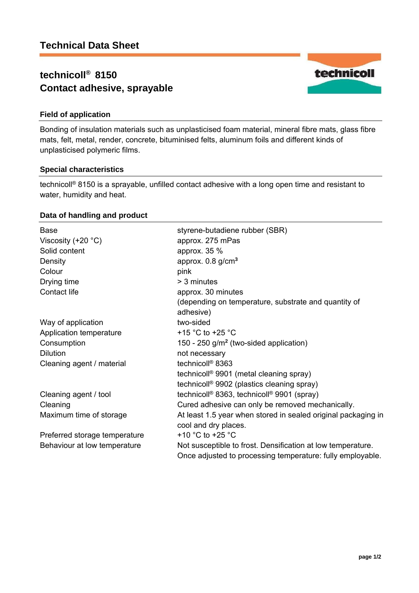# **technicoll® 8150 Contact adhesive, sprayable**



Bonding of insulation materials such as unplasticised foam material, mineral fibre mats, glass fibre mats, felt, metal, render, concrete, bituminised felts, aluminum foils and different kinds of unplasticised polymeric films.

### **Special characteristics**

technicoll® 8150 is a sprayable, unfilled contact adhesive with a long open time and resistant to water, humidity and heat.

## **Data of handling and product**

| Base<br>Viscosity $(+20 °C)$<br>Solid content<br>Density<br>Colour<br>Drying time<br>Contact life | styrene-butadiene rubber (SBR)<br>approx. 275 mPas<br>approx. 35 %<br>approx. $0.8$ g/cm <sup>3</sup><br>pink<br>> 3 minutes<br>approx. 30 minutes<br>(depending on temperature, substrate and quantity of |
|---------------------------------------------------------------------------------------------------|------------------------------------------------------------------------------------------------------------------------------------------------------------------------------------------------------------|
| Way of application                                                                                | adhesive)<br>two-sided                                                                                                                                                                                     |
| Application temperature                                                                           | +15 °C to +25 °C                                                                                                                                                                                           |
| Consumption                                                                                       | 150 - 250 g/m <sup>2</sup> (two-sided application)                                                                                                                                                         |
| <b>Dilution</b>                                                                                   | not necessary                                                                                                                                                                                              |
| Cleaning agent / material                                                                         | technicoll <sup>®</sup> 8363                                                                                                                                                                               |
|                                                                                                   | technicoll <sup>®</sup> 9901 (metal cleaning spray)                                                                                                                                                        |
|                                                                                                   | technicoll <sup>®</sup> 9902 (plastics cleaning spray)                                                                                                                                                     |
| Cleaning agent / tool                                                                             | technicoll <sup>®</sup> 8363, technicoll <sup>®</sup> 9901 (spray)                                                                                                                                         |
| Cleaning                                                                                          | Cured adhesive can only be removed mechanically.                                                                                                                                                           |
| Maximum time of storage                                                                           | At least 1.5 year when stored in sealed original packaging in                                                                                                                                              |
|                                                                                                   | cool and dry places.                                                                                                                                                                                       |
| Preferred storage temperature                                                                     | +10 $^{\circ}$ C to +25 $^{\circ}$ C                                                                                                                                                                       |
| Behaviour at low temperature                                                                      | Not susceptible to frost. Densification at low temperature.<br>Once adjusted to processing temperature: fully employable.                                                                                  |